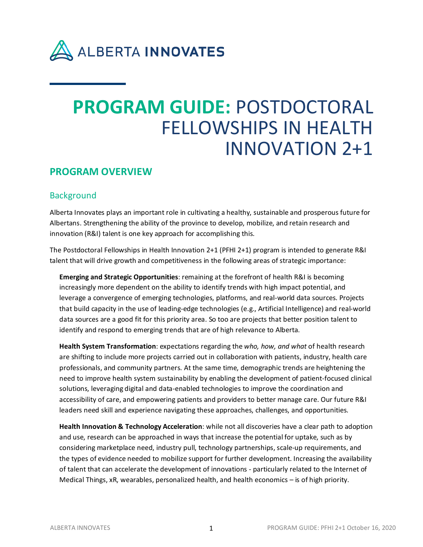

# **PROGRAM GUIDE:** POSTDOCTORAL FELLOWSHIPS IN HEALTH INNOVATION 2+1

# **PROGRAM OVERVIEW**

# **Background**

Alberta Innovates plays an important role in cultivating a healthy, sustainable and prosperous future for Albertans. Strengthening the ability of the province to develop, mobilize, and retain research and innovation (R&I) talent is one key approach for accomplishing this.

The Postdoctoral Fellowships in Health Innovation 2+1 (PFHI 2+1) program is intended to generate R&I talent that will drive growth and competitiveness in the following areas of strategic importance:

**Emerging and Strategic Opportunities**: remaining at the forefront of health R&I is becoming increasingly more dependent on the ability to identify trends with high impact potential, and leverage a convergence of emerging technologies, platforms, and real-world data sources. Projects that build capacity in the use of leading-edge technologies (e.g., Artificial Intelligence) and real-world data sources are a good fit for this priority area. So too are projects that better position talent to identify and respond to emerging trends that are of high relevance to Alberta.

**Health System Transformation**: expectations regarding the *who, how, and what* of health research are shifting to include more projects carried out in collaboration with patients, industry, health care professionals, and community partners. At the same time, demographic trends are heightening the need to improve health system sustainability by enabling the development of patient-focused clinical solutions, leveraging digital and data-enabled technologies to improve the coordination and accessibility of care, and empowering patients and providers to better manage care. Our future R&I leaders need skill and experience navigating these approaches, challenges, and opportunities.

**Health Innovation & Technology Acceleration**: while not all discoveries have a clear path to adoption and use, research can be approached in ways that increase the potential for uptake, such as by considering marketplace need, industry pull, technology partnerships, scale-up requirements, and the types of evidence needed to mobilize support for further development. Increasing the availability of talent that can accelerate the development of innovations - particularly related to the Internet of Medical Things, xR, wearables, personalized health, and health economics – is of high priority.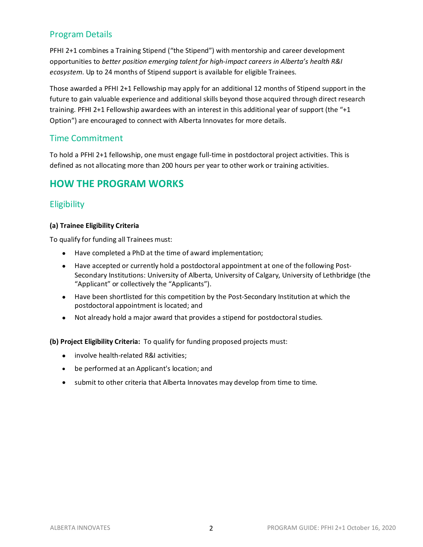# Program Details

PFHI 2+1 combines a Training Stipend ("the Stipend") with mentorship and career development opportunities to *better position emerging talent for high-impact careers in Alberta's health R&I ecosystem*. Up to 24 months of Stipend support is available for eligible Trainees.

Those awarded a PFHI 2+1 Fellowship may apply for an additional 12 months of Stipend support in the future to gain valuable experience and additional skills beyond those acquired through direct research training. PFHI 2+1 Fellowship awardees with an interest in this additional year of support (the "+1 Option") are encouraged to connect with Alberta Innovates for more details.

### Time Commitment

To hold a PFHI 2+1 fellowship, one must engage full-time in postdoctoral project activities. This is defined as not allocating more than 200 hours per year to other work or training activities.

# **HOW THE PROGRAM WORKS**

## **Eligibility**

### **(a) Trainee Eligibility Criteria**

To qualify for funding all Trainees must:

- Have completed a PhD at the time of award implementation;
- Have accepted or currently hold a postdoctoral appointment at one of the following Post-Secondary Institutions: University of Alberta, University of Calgary, University of Lethbridge (the "Applicant" or collectively the "Applicants").
- Have been shortlisted for this competition by the Post-Secondary Institution at which the postdoctoral appointment is located; and
- Not already hold a major award that provides a stipend for postdoctoral studies.

**(b) Project Eligibility Criteria:** To qualify for funding proposed projects must:

- involve health-related R&I activities;
- be performed at an Applicant's location; and
- submit to other criteria that Alberta Innovates may develop from time to time.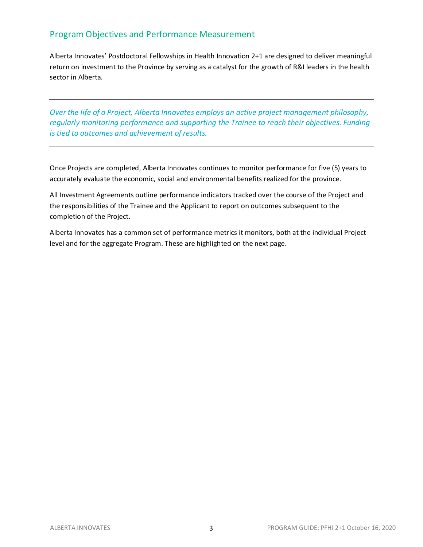# Program Objectives and Performance Measurement

Alberta Innovates' Postdoctoral Fellowships in Health Innovation 2+1 are designed to deliver meaningful return on investment to the Province by serving as a catalyst for the growth of R&I leaders in the health sector in Alberta.

*Over the life of a Project, Alberta Innovates employs an active project management philosophy, regularly monitoring performance and supporting the Trainee to reach their objectives. Funding is tied to outcomes and achievement of results.* 

Once Projects are completed, Alberta Innovates continues to monitor performance for five (5) years to accurately evaluate the economic, social and environmental benefits realized for the province.

All Investment Agreements outline performance indicators tracked over the course of the Project and the responsibilities of the Trainee and the Applicant to report on outcomes subsequent to the completion of the Project.

Alberta Innovates has a common set of performance metrics it monitors, both at the individual Project level and for the aggregate Program. These are highlighted on the next page.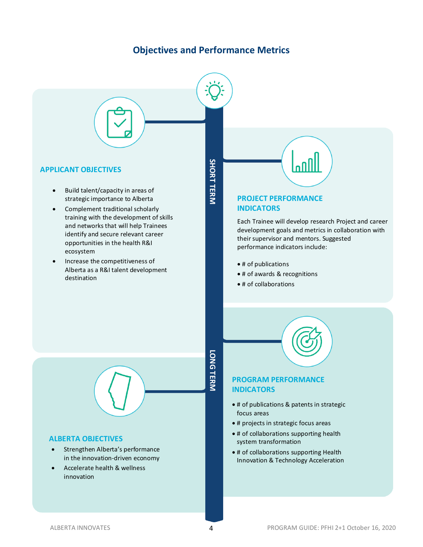# **Objectives and Performance Metrics**



• Accelerate health & wellness innovation

### ALBERTA INNOVATES 4 PROGRAM GUIDE: PFHI 2+1 October 16, 2020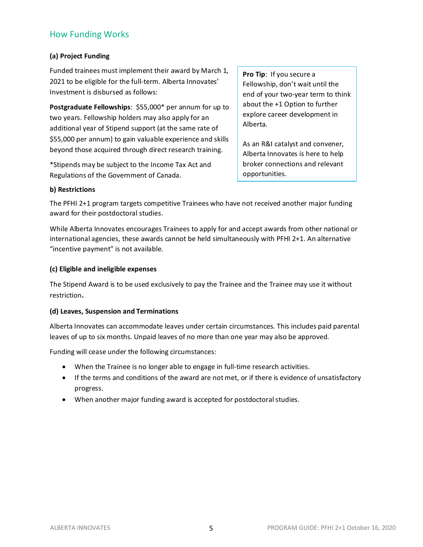# How Funding Works

### **(a) Project Funding**

Funded trainees must implement their award by March 1, 2021 to be eligible for the full-term. Alberta Innovates' Investment is disbursed as follows:

**Postgraduate Fellowships**: \$55,000\* per annum for up to two years. Fellowship holders may also apply for an additional year of Stipend support (at the same rate of \$55,000 per annum) to gain valuable experience and skills beyond those acquired through direct research training.

\*Stipends may be subject to the Income Tax Act and Regulations of the Government of Canada.

**Pro Tip**: If you secure a Fellowship, don't wait until the end of your two-year term to think about the +1 Option to further explore career development in Alberta.

As an R&I catalyst and convener, Alberta Innovates is here to help broker connections and relevant opportunities.

### **b) Restrictions**

The PFHI 2+1 program targets competitive Trainees who have not received another major funding award for their postdoctoral studies.

While Alberta Innovates encourages Trainees to apply for and accept awards from other national or international agencies, these awards cannot be held simultaneously with PFHI 2+1. An alternative "incentive payment" is not available.

### **(c) Eligible and ineligible expenses**

The Stipend Award is to be used exclusively to pay the Trainee and the Trainee may use it without restriction**.**

### **(d) Leaves, Suspension and Terminations**

Alberta Innovates can accommodate leaves under certain circumstances. This includes paid parental leaves of up to six months. Unpaid leaves of no more than one year may also be approved.

Funding will cease under the following circumstances:

- When the Trainee is no longer able to engage in full-time research activities.
- If the terms and conditions of the award are not met, or if there is evidence of unsatisfactory progress.
- When another major funding award is accepted for postdoctoral studies.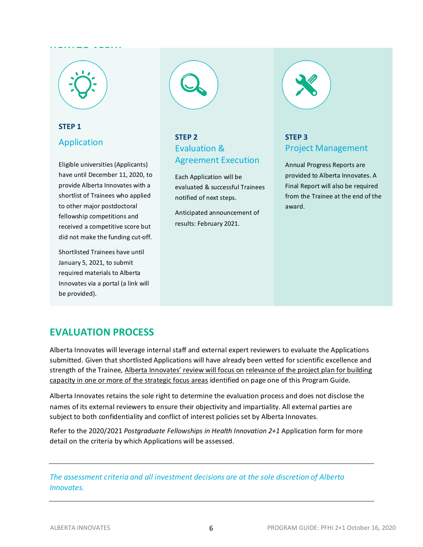# **HOW TO APPLY**

# **STEP 1** Application

Eligible universities (Applicants) have until December 11, 2020, to provide Alberta Innovates with a shortlist of Trainees who applied to other major postdoctoral fellowship competitions and received a competitive score but did not make the funding cut-off.

Shortlisted Trainees have until January 5, 2021, to submit required materials to Alberta Innovates via a portal (a link will be provided).



# **STEP 2** Evaluation & Agreement Execution

Each Application will be evaluated & successful Trainees notified of next steps.

Anticipated announcement of results: February 2021.



# **STEP 3** Project Management

Annual Progress Reports are provided to Alberta Innovates. A Final Report will also be required from the Trainee at the end of the award.

# **EVALUATION PROCESS**

Alberta Innovates will leverage internal staff and external expert reviewers to evaluate the Applications submitted. Given that shortlisted Applications will have already been vetted for scientific excellence and strength of the Trainee, Alberta Innovates' review will focus on relevance of the project plan for building capacity in one or more of the strategic focus areas identified on page one of this Program Guide.

Alberta Innovates retains the sole right to determine the evaluation process and does not disclose the names of its external reviewers to ensure their objectivity and impartiality. All external parties are subject to both confidentiality and conflict of interest policies set by Alberta Innovates.

Refer to the 2020/2021 *Postgraduate Fellowships in Health Innovation 2+1* Application form for more detail on the criteria by which Applications will be assessed.

*The assessment criteria and all investment decisions are at the sole discretion of Alberta Innovates.*